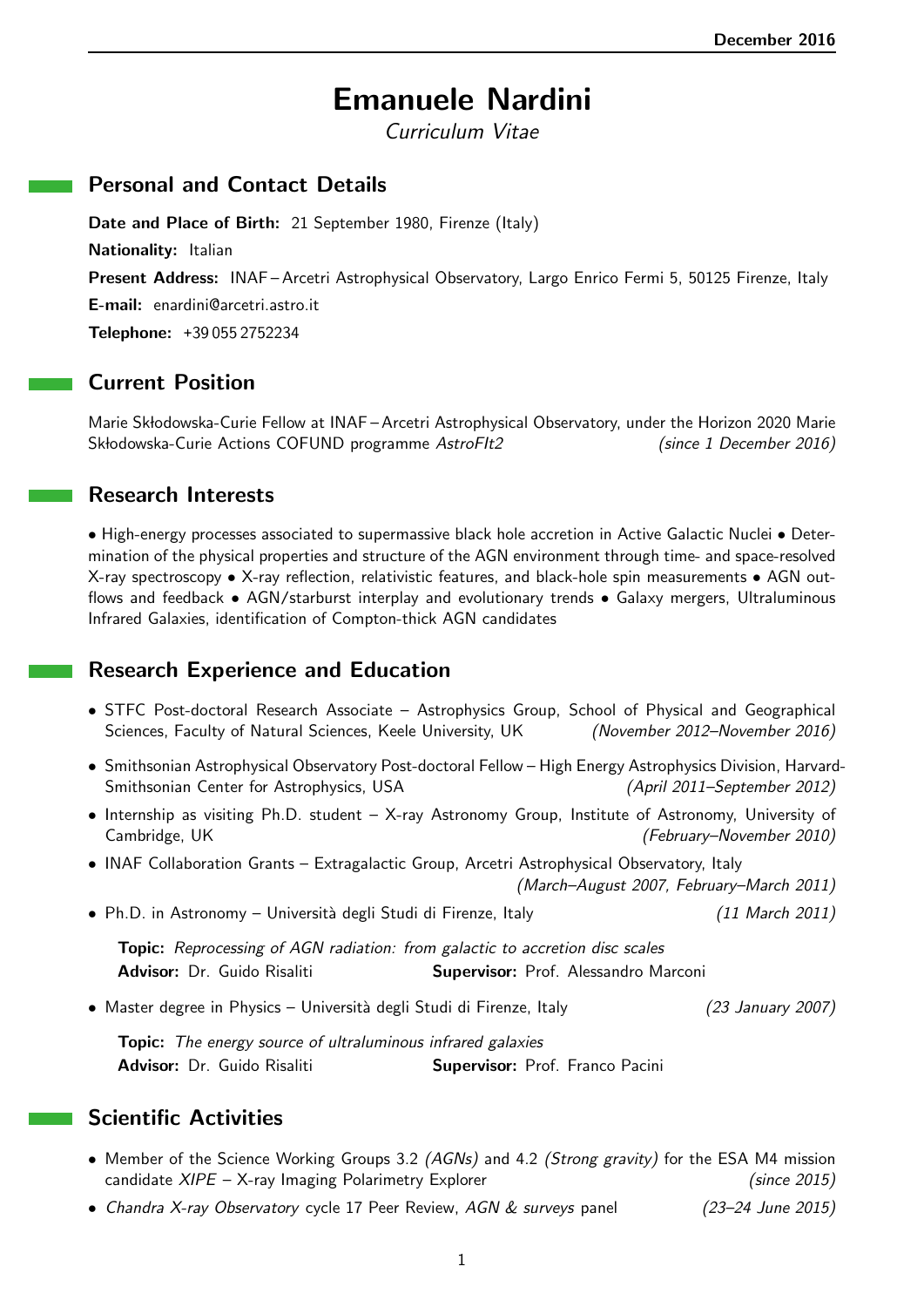# Emanuele Nardini

Curriculum Vitae

#### Personal and Contact Details

Date and Place of Birth: 21 September 1980, Firenze (Italy) Nationality: Italian Present Address: INAF-Arcetri Astrophysical Observatory, Largo Enrico Fermi 5, 50125 Firenze, Italy E-mail: enardini@arcetri.astro.it Telephone: +39 055 2752234

## Current Position

Marie Skłodowska-Curie Fellow at INAF – Arcetri Astrophysical Observatory, under the Horizon 2020 Marie Skłodowska-Curie Actions COFUND programme AstroFIt2 (since 1 December 2016)

#### Research Interests

• High-energy processes associated to supermassive black hole accretion in Active Galactic Nuclei • Determination of the physical properties and structure of the AGN environment through time- and space-resolved X-ray spectroscopy • X-ray reflection, relativistic features, and black-hole spin measurements • AGN outflows and feedback • AGN/starburst interplay and evolutionary trends • Galaxy mergers, Ultraluminous Infrared Galaxies, identification of Compton-thick AGN candidates

## Research Experience and Education

- STFC Post-doctoral Research Associate Astrophysics Group, School of Physical and Geographical Sciences, Faculty of Natural Sciences, Keele University, UK (November 2012–November 2016)
- Smithsonian Astrophysical Observatory Post-doctoral Fellow High Energy Astrophysics Division, Harvard-Smithsonian Center for Astrophysics, USA (April 2011–September 2012)
- Internship as visiting Ph.D. student X-ray Astronomy Group, Institute of Astronomy, University of Cambridge, UK (February–November 2010)
- INAF Collaboration Grants Extragalactic Group, Arcetri Astrophysical Observatory, Italy

(March–August 2007, February–March 2011)

• Ph.D. in Astronomy – Università degli Studi di Firenze, Italy (11 March 2011)

Topic: Reprocessing of AGN radiation: from galactic to accretion disc scales Advisor: Dr. Guido Risaliti Supervisor: Prof. Alessandro Marconi

• Master degree in Physics – Università degli Studi di Firenze, Italy (23 January 2007)

Topic: The energy source of ultraluminous infrared galaxies Advisor: Dr. Guido Risaliti Supervisor: Prof. Franco Pacini

## Scientific Activities

- Member of the Science Working Groups 3.2 (AGNs) and 4.2 (Strong gravity) for the ESA M4 mission candidate *XIPE* – X-ray Imaging Polarimetry Explorer (since 2015)
- Chandra X-ray Observatory cycle 17 Peer Review, AGN & surveys panel (23–24 June 2015)